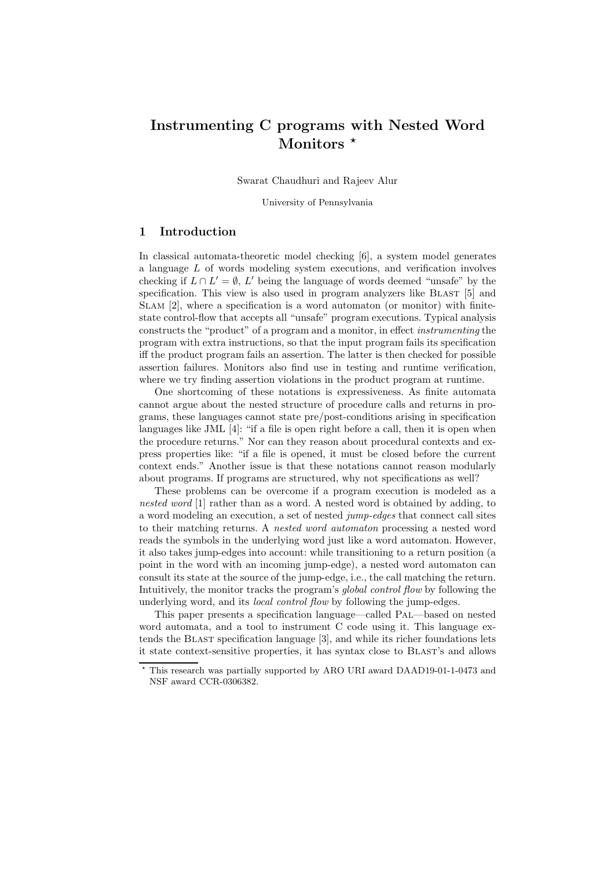# Instrumenting C programs with Nested Word Monitors<sup>\*</sup>

Swarat Chaudhuri and Rajeev Alur

University of Pennsylvania

#### 1 Introduction

In classical automata-theoretic model checking [6], a system model generates a language L of words modeling system executions, and verification involves checking if  $L \cap L' = \emptyset$ , L' being the language of words deemed "unsafe" by the specification. This view is also used in program analyzers like BLAST [5] and Slam [2], where a specification is a word automaton (or monitor) with finitestate control-flow that accepts all "unsafe" program executions. Typical analysis constructs the "product" of a program and a monitor, in effect instrumenting the program with extra instructions, so that the input program fails its specification iff the product program fails an assertion. The latter is then checked for possible assertion failures. Monitors also find use in testing and runtime verification, where we try finding assertion violations in the product program at runtime.

One shortcoming of these notations is expressiveness. As finite automata cannot argue about the nested structure of procedure calls and returns in programs, these languages cannot state pre/post-conditions arising in specification languages like JML [4]: "if a file is open right before a call, then it is open when the procedure returns." Nor can they reason about procedural contexts and express properties like: "if a file is opened, it must be closed before the current context ends." Another issue is that these notations cannot reason modularly about programs. If programs are structured, why not specifications as well?

These problems can be overcome if a program execution is modeled as a nested word [1] rather than as a word. A nested word is obtained by adding, to a word modeling an execution, a set of nested jump-edges that connect call sites to their matching returns. A nested word automaton processing a nested word reads the symbols in the underlying word just like a word automaton. However, it also takes jump-edges into account: while transitioning to a return position (a point in the word with an incoming jump-edge), a nested word automaton can consult its state at the source of the jump-edge, i.e., the call matching the return. Intuitively, the monitor tracks the program's global control flow by following the underlying word, and its *local control flow* by following the jump-edges.

This paper presents a specification language—called Pal—based on nested word automata, and a tool to instrument C code using it. This language extends the Blast specification language [3], and while its richer foundations lets it state context-sensitive properties, it has syntax close to Blast's and allows

This research was partially supported by ARO URI award DAAD19-01-1-0473 and NSF award CCR-0306382.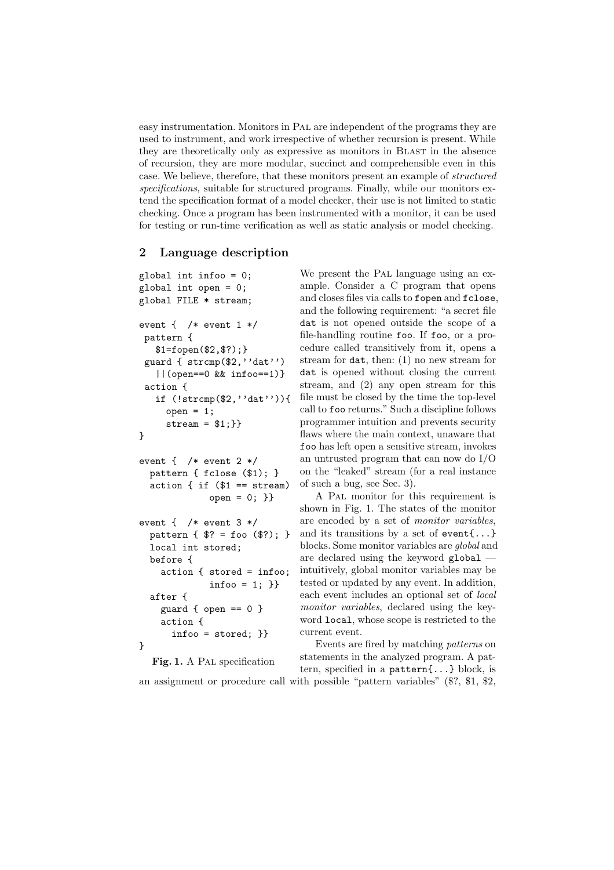easy instrumentation. Monitors in Pal are independent of the programs they are used to instrument, and work irrespective of whether recursion is present. While they are theoretically only as expressive as monitors in BLAST in the absence of recursion, they are more modular, succinct and comprehensible even in this case. We believe, therefore, that these monitors present an example of structured specifications, suitable for structured programs. Finally, while our monitors extend the specification format of a model checker, their use is not limited to static checking. Once a program has been instrumented with a monitor, it can be used for testing or run-time verification as well as static analysis or model checking.

## 2 Language description

```
global int open = 0;
global FILE * stream;
event \{ /* event 1 */
pattern {
   $1=fopen($2,$?);}
guard { strcmp($2,''dat'')
   ||(open==0 && infoo==1)}
 action {
   if (!\text{strcmp}(\$2,''\text{dat}'))open = 1;stream = $1; } }
}
```

```
event { /* event 2 */
 pattern { fclose ($1); }
  action \{ if (\$1 == stream)open = 0; \}
```

```
event { /* event 3 */
  pattern { $? = foo ($?); }
  local int stored;
  before {
    action { stored = infoo;
             infoo = 1; }after {
    guard \{ open == 0 \}action {
      infoo = stored;}
}
```
Fig. 1. A Pal specification

global int infoo =  $0$ ; We present the PAL language using an example. Consider a C program that opens and closes files via calls to fopen and fclose, and the following requirement: "a secret file dat is not opened outside the scope of a file-handling routine foo. If foo, or a procedure called transitively from it, opens a stream for dat, then: (1) no new stream for dat is opened without closing the current stream, and (2) any open stream for this file must be closed by the time the top-level call to foo returns." Such a discipline follows programmer intuition and prevents security flaws where the main context, unaware that foo has left open a sensitive stream, invokes an untrusted program that can now do I/O on the "leaked" stream (for a real instance of such a bug, see Sec. 3).

> A Pal monitor for this requirement is shown in Fig. 1. The states of the monitor are encoded by a set of monitor variables, and its transitions by a set of event{...} blocks. Some monitor variables are global and are declared using the keyword global intuitively, global monitor variables may be tested or updated by any event. In addition, each event includes an optional set of local monitor variables, declared using the keyword local, whose scope is restricted to the current event.

Events are fired by matching patterns on statements in the analyzed program. A pattern, specified in a pattern{...} block, is

an assignment or procedure call with possible "pattern variables" (\$?, \$1, \$2,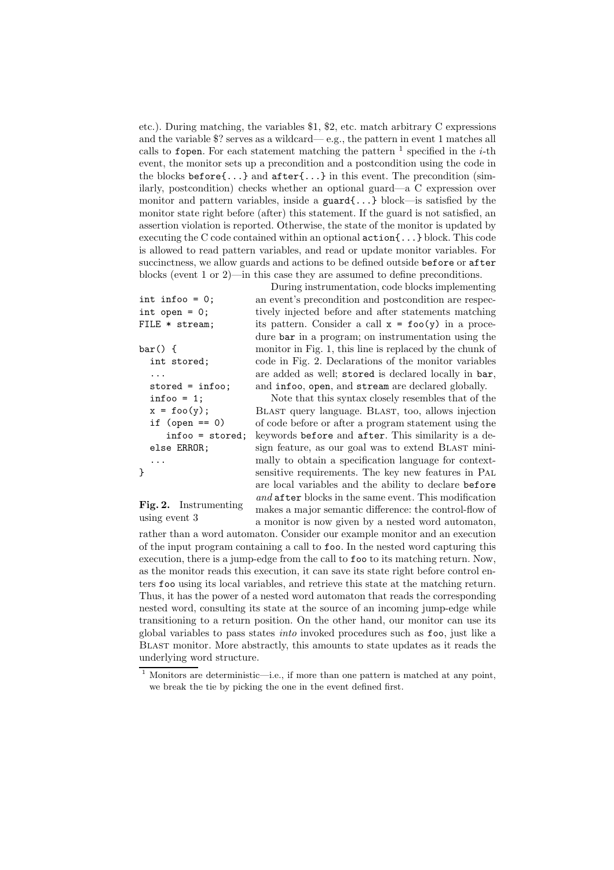etc.). During matching, the variables \$1, \$2, etc. match arbitrary C expressions and the variable  $\frac{6}{2}$ ? serves as a wildcard— e.g., the pattern in event 1 matches all calls to fopen. For each statement matching the pattern  $^1$  specified in the *i*-th event, the monitor sets up a precondition and a postcondition using the code in the blocks before  $\{\ldots\}$  and  $\text{after}\{\ldots\}$  in this event. The precondition (similarly, postcondition) checks whether an optional guard—a C expression over monitor and pattern variables, inside a guard{...} block—is satisfied by the monitor state right before (after) this statement. If the guard is not satisfied, an assertion violation is reported. Otherwise, the state of the monitor is updated by executing the C code contained within an optional action{...} block. This code is allowed to read pattern variables, and read or update monitor variables. For succinctness, we allow guards and actions to be defined outside before or after blocks (event 1 or 2)—in this case they are assumed to define preconditions.

```
int infoo = 0;
int open = 0;
FILE * stream;
bar() {
  int stored;
  ...
  stored = infoo;
  infoo = 1;
  x = foo(y);
  if (open == 0)infoo = stored;
  else ERROR;
  ...
}
```
Fig. 2. Instrumenting

using event 3

During instrumentation, code blocks implementing an event's precondition and postcondition are respectively injected before and after statements matching its pattern. Consider a call  $x = foo(y)$  in a procedure bar in a program; on instrumentation using the monitor in Fig. 1, this line is replaced by the chunk of code in Fig. 2. Declarations of the monitor variables are added as well; stored is declared locally in bar, and infoo, open, and stream are declared globally.

Note that this syntax closely resembles that of the BLAST query language. BLAST, too, allows injection of code before or after a program statement using the keywords before and after. This similarity is a design feature, as our goal was to extend BLAST minimally to obtain a specification language for contextsensitive requirements. The key new features in Pal are local variables and the ability to declare before and after blocks in the same event. This modification makes a major semantic difference: the control-flow of a monitor is now given by a nested word automaton,

rather than a word automaton. Consider our example monitor and an execution of the input program containing a call to foo. In the nested word capturing this execution, there is a jump-edge from the call to foo to its matching return. Now, as the monitor reads this execution, it can save its state right before control enters foo using its local variables, and retrieve this state at the matching return. Thus, it has the power of a nested word automaton that reads the corresponding nested word, consulting its state at the source of an incoming jump-edge while transitioning to a return position. On the other hand, our monitor can use its global variables to pass states into invoked procedures such as foo, just like a Blast monitor. More abstractly, this amounts to state updates as it reads the underlying word structure.

<sup>&</sup>lt;sup>1</sup> Monitors are deterministic—i.e., if more than one pattern is matched at any point, we break the tie by picking the one in the event defined first.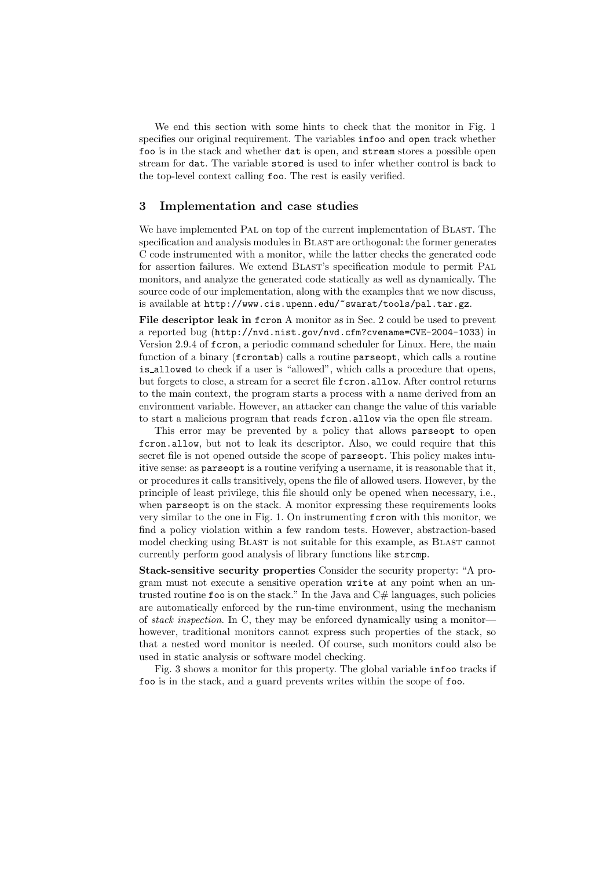We end this section with some hints to check that the monitor in Fig. 1 specifies our original requirement. The variables infoo and open track whether foo is in the stack and whether dat is open, and stream stores a possible open stream for dat. The variable stored is used to infer whether control is back to the top-level context calling foo. The rest is easily verified.

## 3 Implementation and case studies

We have implemented PAL on top of the current implementation of BLAST. The specification and analysis modules in BLAST are orthogonal: the former generates C code instrumented with a monitor, while the latter checks the generated code for assertion failures. We extend Blast's specification module to permit Pal monitors, and analyze the generated code statically as well as dynamically. The source code of our implementation, along with the examples that we now discuss, is available at http://www.cis.upenn.edu/~swarat/tools/pal.tar.gz.

File descriptor leak in fcron A monitor as in Sec. 2 could be used to prevent a reported bug (http://nvd.nist.gov/nvd.cfm?cvename=CVE-2004-1033) in Version 2.9.4 of fcron, a periodic command scheduler for Linux. Here, the main function of a binary (fcrontab) calls a routine parseopt, which calls a routine is allowed to check if a user is "allowed", which calls a procedure that opens, but forgets to close, a stream for a secret file fcron.allow. After control returns to the main context, the program starts a process with a name derived from an environment variable. However, an attacker can change the value of this variable to start a malicious program that reads fcron.allow via the open file stream.

This error may be prevented by a policy that allows parseopt to open fcron.allow, but not to leak its descriptor. Also, we could require that this secret file is not opened outside the scope of parseopt. This policy makes intuitive sense: as parseopt is a routine verifying a username, it is reasonable that it, or procedures it calls transitively, opens the file of allowed users. However, by the principle of least privilege, this file should only be opened when necessary, i.e., when **parses** is on the stack. A monitor expressing these requirements looks very similar to the one in Fig. 1. On instrumenting fcron with this monitor, we find a policy violation within a few random tests. However, abstraction-based model checking using BLAST is not suitable for this example, as BLAST cannot currently perform good analysis of library functions like strcmp.

Stack-sensitive security properties Consider the security property: "A program must not execute a sensitive operation write at any point when an untrusted routine foo is on the stack." In the Java and  $C#$  languages, such policies are automatically enforced by the run-time environment, using the mechanism of stack inspection. In C, they may be enforced dynamically using a monitor however, traditional monitors cannot express such properties of the stack, so that a nested word monitor is needed. Of course, such monitors could also be used in static analysis or software model checking.

Fig. 3 shows a monitor for this property. The global variable infoo tracks if foo is in the stack, and a guard prevents writes within the scope of foo.